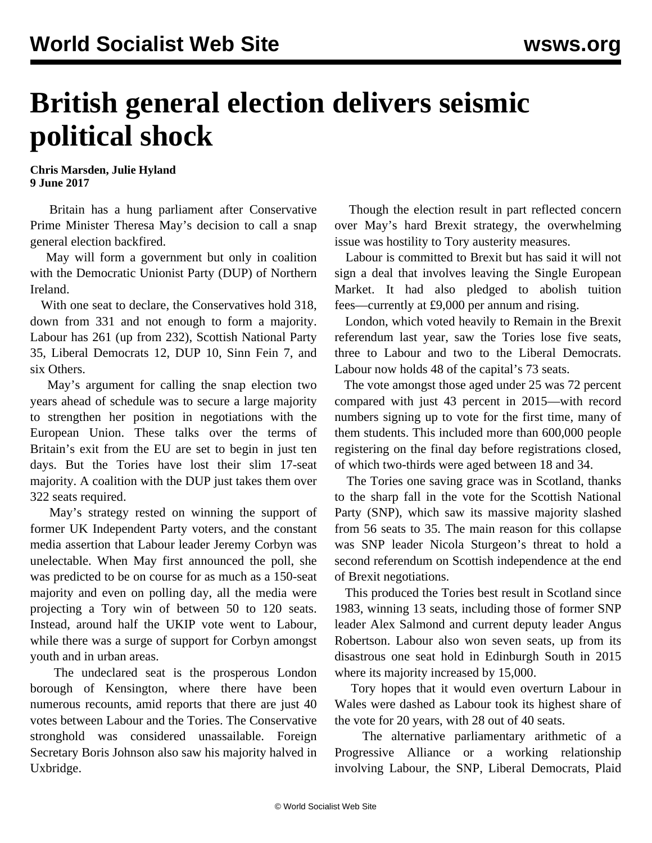## **British general election delivers seismic political shock**

**Chris Marsden, Julie Hyland 9 June 2017**

 Britain has a hung parliament after Conservative Prime Minister Theresa May's decision to call a snap general election backfired.

 May will form a government but only in coalition with the Democratic Unionist Party (DUP) of Northern Ireland.

 With one seat to declare, the Conservatives hold 318, down from 331 and not enough to form a majority. Labour has 261 (up from 232), Scottish National Party 35, Liberal Democrats 12, DUP 10, Sinn Fein 7, and six Others.

 May's argument for calling the snap election two years ahead of schedule was to secure a large majority to strengthen her position in negotiations with the European Union. These talks over the terms of Britain's exit from the EU are set to begin in just ten days. But the Tories have lost their slim 17-seat majority. A coalition with the DUP just takes them over 322 seats required.

 May's strategy rested on winning the support of former UK Independent Party voters, and the constant media assertion that Labour leader Jeremy Corbyn was unelectable. When May first announced the poll, she was predicted to be on course for as much as a 150-seat majority and even on polling day, all the media were projecting a Tory win of between 50 to 120 seats. Instead, around half the UKIP vote went to Labour, while there was a surge of support for Corbyn amongst youth and in urban areas.

 The undeclared seat is the prosperous London borough of Kensington, where there have been numerous recounts, amid reports that there are just 40 votes between Labour and the Tories. The Conservative stronghold was considered unassailable. Foreign Secretary Boris Johnson also saw his majority halved in Uxbridge.

 Though the election result in part reflected concern over May's hard Brexit strategy, the overwhelming issue was hostility to Tory austerity measures.

 Labour is committed to Brexit but has said it will not sign a deal that involves leaving the Single European Market. It had also pledged to abolish tuition fees—currently at £9,000 per annum and rising.

 London, which voted heavily to Remain in the Brexit referendum last year, saw the Tories lose five seats, three to Labour and two to the Liberal Democrats. Labour now holds 48 of the capital's 73 seats.

 The vote amongst those aged under 25 was 72 percent compared with just 43 percent in 2015—with record numbers signing up to vote for the first time, many of them students. This included more than 600,000 people registering on the final day before registrations closed, of which two-thirds were aged between 18 and 34.

 The Tories one saving grace was in Scotland, thanks to the sharp fall in the vote for the Scottish National Party (SNP), which saw its massive majority slashed from 56 seats to 35. The main reason for this collapse was SNP leader Nicola Sturgeon's threat to hold a second referendum on Scottish independence at the end of Brexit negotiations.

 This produced the Tories best result in Scotland since 1983, winning 13 seats, including those of former SNP leader Alex Salmond and current deputy leader Angus Robertson. Labour also won seven seats, up from its disastrous one seat hold in Edinburgh South in 2015 where its majority increased by 15,000.

 Tory hopes that it would even overturn Labour in Wales were dashed as Labour took its highest share of the vote for 20 years, with 28 out of 40 seats.

 The alternative parliamentary arithmetic of a Progressive Alliance or a working relationship involving Labour, the SNP, Liberal Democrats, Plaid